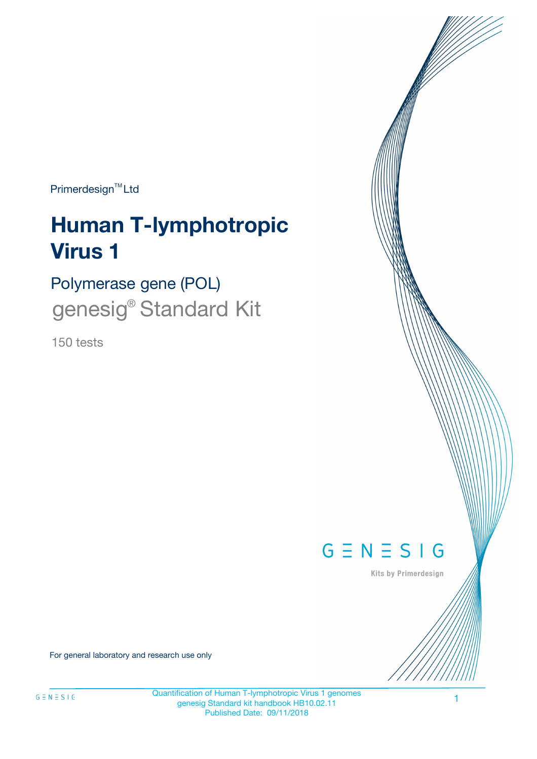Primerdesign<sup>™</sup>Ltd

# **Human T-lymphotropic Virus 1**

Polymerase gene (POL) genesig<sup>®</sup> Standard Kit

150 tests



Kits by Primerdesign

For general laboratory and research use only

Quantification of Human T-lymphotropic Virus 1 genomes genesig Standard kit handbook HB10.02.11 Published Date: 09/11/2018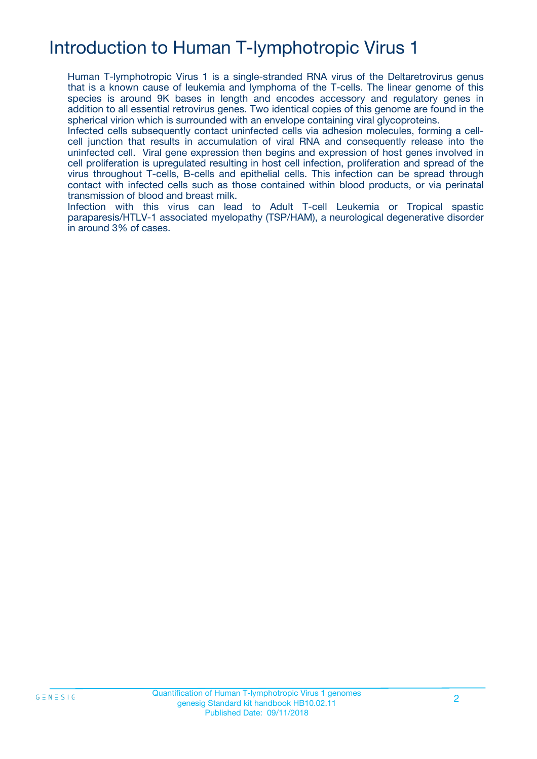# Introduction to Human T-lymphotropic Virus 1

Human T-lymphotropic Virus 1 is a single-stranded RNA virus of the Deltaretrovirus genus that is a known cause of leukemia and lymphoma of the T-cells. The linear genome of this species is around 9K bases in length and encodes accessory and regulatory genes in addition to all essential retrovirus genes. Two identical copies of this genome are found in the spherical virion which is surrounded with an envelope containing viral glycoproteins.

Infected cells subsequently contact uninfected cells via adhesion molecules, forming a cellcell junction that results in accumulation of viral RNA and consequently release into the uninfected cell. Viral gene expression then begins and expression of host genes involved in cell proliferation is upregulated resulting in host cell infection, proliferation and spread of the virus throughout T-cells, B-cells and epithelial cells. This infection can be spread through contact with infected cells such as those contained within blood products, or via perinatal transmission of blood and breast milk.

Infection with this virus can lead to Adult T-cell Leukemia or Tropical spastic paraparesis/HTLV-1 associated myelopathy (TSP/HAM), a neurological degenerative disorder in around 3% of cases.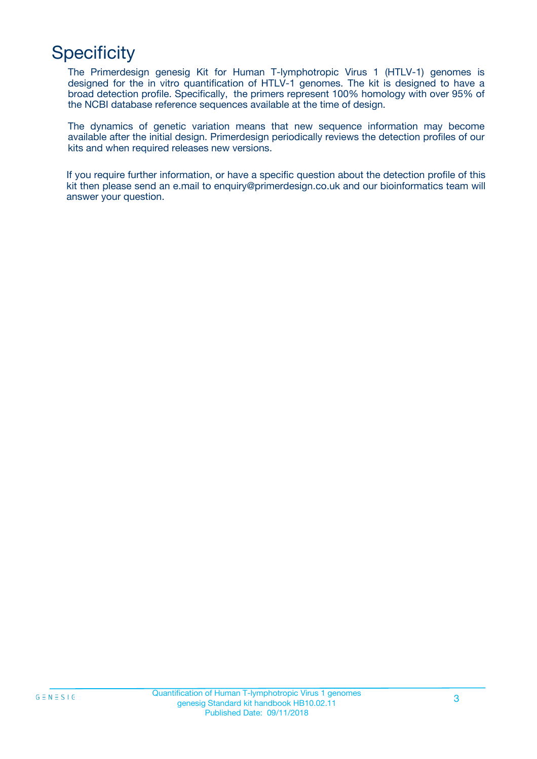# **Specificity**

The Primerdesign genesig Kit for Human T-lymphotropic Virus 1 (HTLV-1) genomes is designed for the in vitro quantification of HTLV-1 genomes. The kit is designed to have a broad detection profile. Specifically, the primers represent 100% homology with over 95% of the NCBI database reference sequences available at the time of design.

The dynamics of genetic variation means that new sequence information may become available after the initial design. Primerdesign periodically reviews the detection profiles of our kits and when required releases new versions.

If you require further information, or have a specific question about the detection profile of this kit then please send an e.mail to enquiry@primerdesign.co.uk and our bioinformatics team will answer your question.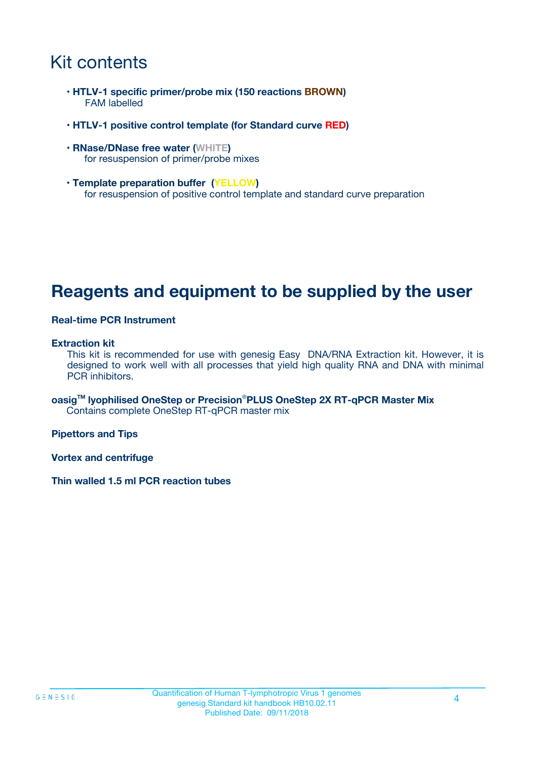### Kit contents

- **HTLV-1 specific primer/probe mix (150 reactions BROWN)** FAM labelled
- **HTLV-1 positive control template (for Standard curve RED)**
- **RNase/DNase free water (WHITE)** for resuspension of primer/probe mixes
- **Template preparation buffer (YELLOW)** for resuspension of positive control template and standard curve preparation

### **Reagents and equipment to be supplied by the user**

#### **Real-time PCR Instrument**

#### **Extraction kit**

This kit is recommended for use with genesig Easy DNA/RNA Extraction kit. However, it is designed to work well with all processes that yield high quality RNA and DNA with minimal PCR inhibitors.

**oasigTM lyophilised OneStep or Precision**®**PLUS OneStep 2X RT-qPCR Master Mix** Contains complete OneStep RT-qPCR master mix

**Pipettors and Tips**

**Vortex and centrifuge**

**Thin walled 1.5 ml PCR reaction tubes**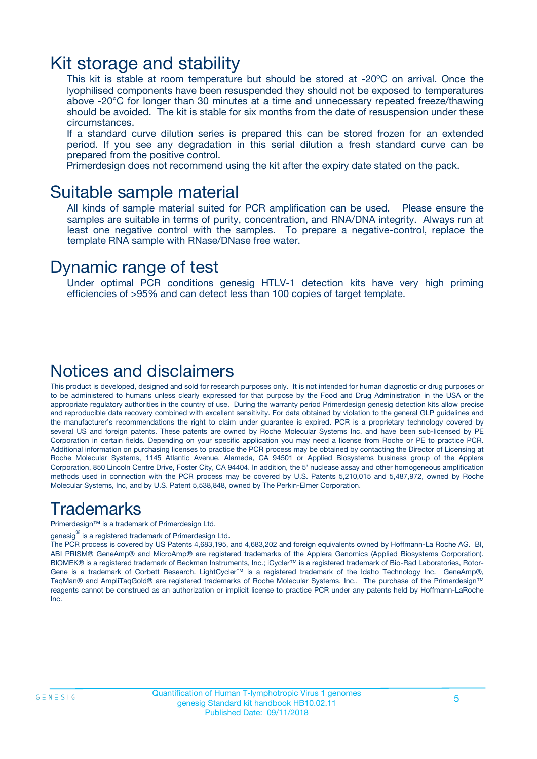### Kit storage and stability

This kit is stable at room temperature but should be stored at -20ºC on arrival. Once the lyophilised components have been resuspended they should not be exposed to temperatures above -20°C for longer than 30 minutes at a time and unnecessary repeated freeze/thawing should be avoided. The kit is stable for six months from the date of resuspension under these circumstances.

If a standard curve dilution series is prepared this can be stored frozen for an extended period. If you see any degradation in this serial dilution a fresh standard curve can be prepared from the positive control.

Primerdesign does not recommend using the kit after the expiry date stated on the pack.

### Suitable sample material

All kinds of sample material suited for PCR amplification can be used. Please ensure the samples are suitable in terms of purity, concentration, and RNA/DNA integrity. Always run at least one negative control with the samples. To prepare a negative-control, replace the template RNA sample with RNase/DNase free water.

### Dynamic range of test

Under optimal PCR conditions genesig HTLV-1 detection kits have very high priming efficiencies of >95% and can detect less than 100 copies of target template.

### Notices and disclaimers

This product is developed, designed and sold for research purposes only. It is not intended for human diagnostic or drug purposes or to be administered to humans unless clearly expressed for that purpose by the Food and Drug Administration in the USA or the appropriate regulatory authorities in the country of use. During the warranty period Primerdesign genesig detection kits allow precise and reproducible data recovery combined with excellent sensitivity. For data obtained by violation to the general GLP guidelines and the manufacturer's recommendations the right to claim under guarantee is expired. PCR is a proprietary technology covered by several US and foreign patents. These patents are owned by Roche Molecular Systems Inc. and have been sub-licensed by PE Corporation in certain fields. Depending on your specific application you may need a license from Roche or PE to practice PCR. Additional information on purchasing licenses to practice the PCR process may be obtained by contacting the Director of Licensing at Roche Molecular Systems, 1145 Atlantic Avenue, Alameda, CA 94501 or Applied Biosystems business group of the Applera Corporation, 850 Lincoln Centre Drive, Foster City, CA 94404. In addition, the 5' nuclease assay and other homogeneous amplification methods used in connection with the PCR process may be covered by U.S. Patents 5,210,015 and 5,487,972, owned by Roche Molecular Systems, Inc, and by U.S. Patent 5,538,848, owned by The Perkin-Elmer Corporation.

### Trademarks

Primerdesign™ is a trademark of Primerdesign Ltd.

genesig $^\circledR$  is a registered trademark of Primerdesign Ltd.

The PCR process is covered by US Patents 4,683,195, and 4,683,202 and foreign equivalents owned by Hoffmann-La Roche AG. BI, ABI PRISM® GeneAmp® and MicroAmp® are registered trademarks of the Applera Genomics (Applied Biosystems Corporation). BIOMEK® is a registered trademark of Beckman Instruments, Inc.; iCycler™ is a registered trademark of Bio-Rad Laboratories, Rotor-Gene is a trademark of Corbett Research. LightCycler™ is a registered trademark of the Idaho Technology Inc. GeneAmp®, TaqMan® and AmpliTaqGold® are registered trademarks of Roche Molecular Systems, Inc., The purchase of the Primerdesign™ reagents cannot be construed as an authorization or implicit license to practice PCR under any patents held by Hoffmann-LaRoche Inc.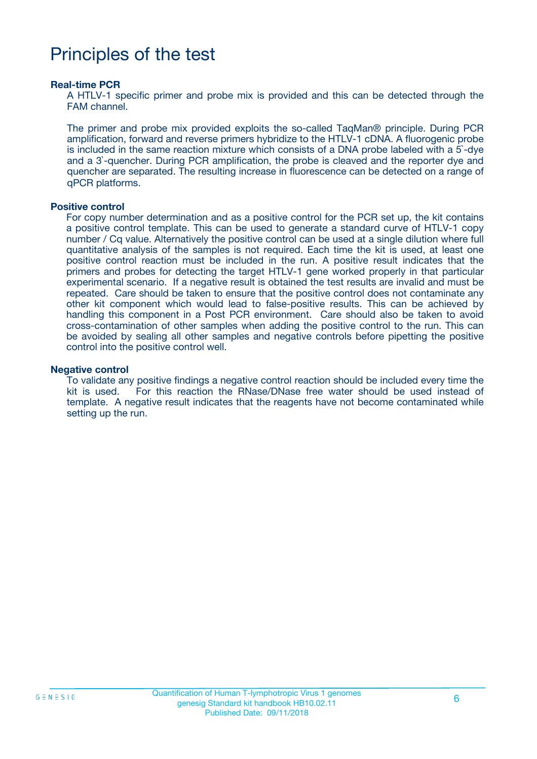### Principles of the test

#### **Real-time PCR**

A HTLV-1 specific primer and probe mix is provided and this can be detected through the FAM channel.

The primer and probe mix provided exploits the so-called TaqMan® principle. During PCR amplification, forward and reverse primers hybridize to the HTLV-1 cDNA. A fluorogenic probe is included in the same reaction mixture which consists of a DNA probe labeled with a 5`-dye and a 3`-quencher. During PCR amplification, the probe is cleaved and the reporter dye and quencher are separated. The resulting increase in fluorescence can be detected on a range of qPCR platforms.

#### **Positive control**

For copy number determination and as a positive control for the PCR set up, the kit contains a positive control template. This can be used to generate a standard curve of HTLV-1 copy number / Cq value. Alternatively the positive control can be used at a single dilution where full quantitative analysis of the samples is not required. Each time the kit is used, at least one positive control reaction must be included in the run. A positive result indicates that the primers and probes for detecting the target HTLV-1 gene worked properly in that particular experimental scenario. If a negative result is obtained the test results are invalid and must be repeated. Care should be taken to ensure that the positive control does not contaminate any other kit component which would lead to false-positive results. This can be achieved by handling this component in a Post PCR environment. Care should also be taken to avoid cross-contamination of other samples when adding the positive control to the run. This can be avoided by sealing all other samples and negative controls before pipetting the positive control into the positive control well.

#### **Negative control**

To validate any positive findings a negative control reaction should be included every time the kit is used. For this reaction the RNase/DNase free water should be used instead of template. A negative result indicates that the reagents have not become contaminated while setting up the run.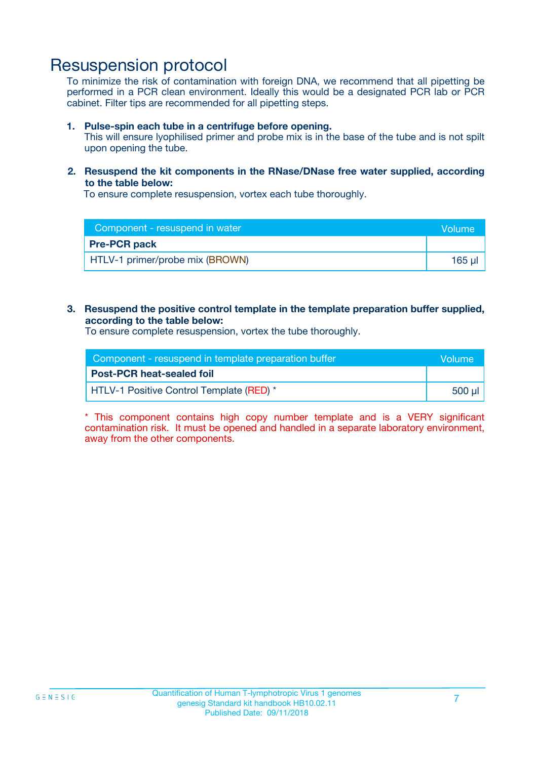### Resuspension protocol

To minimize the risk of contamination with foreign DNA, we recommend that all pipetting be performed in a PCR clean environment. Ideally this would be a designated PCR lab or PCR cabinet. Filter tips are recommended for all pipetting steps.

#### **1. Pulse-spin each tube in a centrifuge before opening.**

This will ensure lyophilised primer and probe mix is in the base of the tube and is not spilt upon opening the tube.

#### **2. Resuspend the kit components in the RNase/DNase free water supplied, according to the table below:**

To ensure complete resuspension, vortex each tube thoroughly.

| Component - resuspend in water  | <b>Volume</b> |
|---------------------------------|---------------|
| <b>Pre-PCR pack</b>             |               |
| HTLV-1 primer/probe mix (BROWN) | 165 ul        |

#### **3. Resuspend the positive control template in the template preparation buffer supplied, according to the table below:**

To ensure complete resuspension, vortex the tube thoroughly.

| Component - resuspend in template preparation buffer |         |  |
|------------------------------------------------------|---------|--|
| <b>Post-PCR heat-sealed foil</b>                     |         |  |
| HTLV-1 Positive Control Template (RED) *             | .500 ul |  |

\* This component contains high copy number template and is a VERY significant contamination risk. It must be opened and handled in a separate laboratory environment, away from the other components.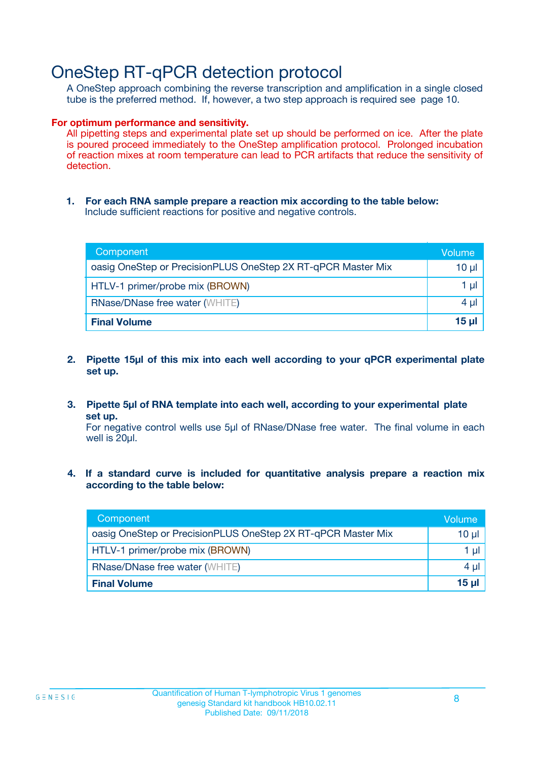### OneStep RT-qPCR detection protocol

A OneStep approach combining the reverse transcription and amplification in a single closed tube is the preferred method. If, however, a two step approach is required see page 10.

#### **For optimum performance and sensitivity.**

All pipetting steps and experimental plate set up should be performed on ice. After the plate is poured proceed immediately to the OneStep amplification protocol. Prolonged incubation of reaction mixes at room temperature can lead to PCR artifacts that reduce the sensitivity of detection.

**1. For each RNA sample prepare a reaction mix according to the table below:** Include sufficient reactions for positive and negative controls.

| Component                                                    | Volume     |
|--------------------------------------------------------------|------------|
| oasig OneStep or PrecisionPLUS OneStep 2X RT-qPCR Master Mix | $10 \mu$   |
| HTLV-1 primer/probe mix (BROWN)                              | 1 µl       |
| <b>RNase/DNase free water (WHITE)</b>                        | $4 \mu$    |
| <b>Final Volume</b>                                          | $15$ $\mu$ |

- **2. Pipette 15µl of this mix into each well according to your qPCR experimental plate set up.**
- **3. Pipette 5µl of RNA template into each well, according to your experimental plate set up.**

For negative control wells use 5µl of RNase/DNase free water. The final volume in each well is 20ul.

**4. If a standard curve is included for quantitative analysis prepare a reaction mix according to the table below:**

| Component                                                    | Volume   |
|--------------------------------------------------------------|----------|
| oasig OneStep or PrecisionPLUS OneStep 2X RT-qPCR Master Mix | 10 µl    |
| HTLV-1 primer/probe mix (BROWN)                              | 1 µI     |
| <b>RNase/DNase free water (WHITE)</b>                        | $4 \mu$  |
| <b>Final Volume</b>                                          | $15 \mu$ |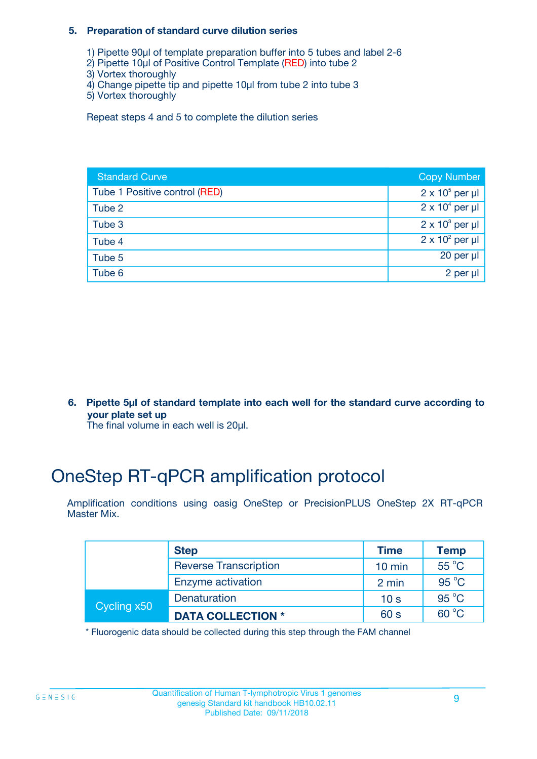#### **5. Preparation of standard curve dilution series**

- 1) Pipette 90µl of template preparation buffer into 5 tubes and label 2-6
- 2) Pipette 10µl of Positive Control Template (RED) into tube 2
- 3) Vortex thoroughly
- 4) Change pipette tip and pipette 10µl from tube 2 into tube 3
- 5) Vortex thoroughly

Repeat steps 4 and 5 to complete the dilution series

| <b>Standard Curve</b>         | <b>Copy Number</b>     |
|-------------------------------|------------------------|
| Tube 1 Positive control (RED) | $2 \times 10^5$ per µl |
| Tube 2                        | $2 \times 10^4$ per µl |
| Tube 3                        | $2 \times 10^3$ per µl |
| Tube 4                        | $2 \times 10^2$ per µl |
| Tube 5                        | 20 per $\mu$           |
| Tube 6                        | 2 per µl               |

**6. Pipette 5µl of standard template into each well for the standard curve according to your plate set up**

The final volume in each well is 20ul.

# OneStep RT-qPCR amplification protocol

Amplification conditions using oasig OneStep or PrecisionPLUS OneStep 2X RT-qPCR Master Mix.

|             | <b>Step</b>                  | <b>Time</b>      | <b>Temp</b>    |
|-------------|------------------------------|------------------|----------------|
|             | <b>Reverse Transcription</b> | $10 \text{ min}$ | $55^{\circ}$ C |
|             | Enzyme activation            | 2 min            | $95^{\circ}$ C |
| Cycling x50 | Denaturation                 | 10 <sub>s</sub>  | $95^{\circ}$ C |
|             | <b>DATA COLLECTION *</b>     | 60 s             | $60^{\circ}$ C |

\* Fluorogenic data should be collected during this step through the FAM channel